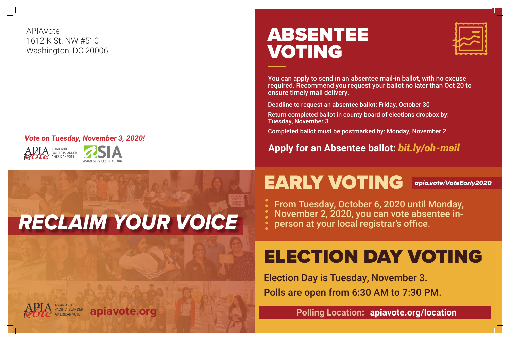



#### *Vote on Tuesday, November 3, 2020!*

APIAVote 1612 K St. NW #510 Washington, DC 20006

## EARLY VOTING *apia.vote/VoteEarly2020*

- 
- 
- 

## ELECTION DAY VOTING

### **Polling Location: apiavote.org/location**

## ABSENTEE VOTING

You can apply to send in an absentee mail-in ballot, with no excuse required. Recommend you request your ballot no later than Oct 20 to ensure timely mail delivery.

### **Apply for an Absentee ballot:** *bit.ly/oh-mail*

Deadline to request an absentee ballot: Friday, October 30 Return completed ballot in county board of elections dropbox by:

Tuesday, November 3

Completed ballot must be postmarked by: Monday, November 2

From Tuesday, October 6, 2020 until Monday, November 2, 2020, you can vote absentee inperson at your local registrar's office.

Election Day is Tuesday, November 3. Polls are open from 6:30 AM to 7:30 PM.





## *RECLAIM YOUR VOICE*



ASIAN AND PACIFIC ISLANDER apiavote.org